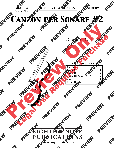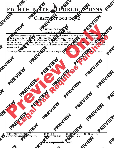## Canzon per Sonare #2

*Arranged by David Marlatt* Giovanni Gabrieli



Canzoni were pieces composed for various combinations of instruments and various sizes of ensembles. The actual instrumentation of many of Giovanni Gabrieli's canzoni is not known, mainly because these pieces were designed for an ensemble of non-specific instruments. They were often performed combining oboes, violins, trumpets, trombones, gambas and many others. The most famous set of Gabrieli canzoni was this Sacrae symphoniae (1597). Included in these 16 works is the famous *Sonata piano e forte* which links the canzon and the sonata. **EIGHTH NOTE PREVIEW PREVIEW PREVIEW PREVIEW CAN ACCOUNT CONTACT CONSUMITED Arranged by David Maritati Cancer is and very designed for an ensemble of non-specific instruments and we designed for an ensemble of non-specific EIGHTH NOTE CANOT CONSUMITS CONSUMITS**<br>
CANONI TO PET SONO GIVEN CONSUMITED Arranged by David Maria<br>
sculpture pieces composed for various combinations of instruments.<br>
The independent preview of the component of the comp EIGHTH NOTE DEUBLICATIONS EIGHTH NOTE PUBLICATION<br>Canzon per Sonare #2<br>Siovanni Gabriel EIGHTH NOTE PPUBLICATIONS<br>
Canzon per Sonare #2<br>
Canzon per Sonare #2<br>
Canzon per Sonare #2<br>
Canzon preview Preview Preview Preview Preview Preview Preview Preview Preview Preview Preview Preview Preview Preview Preview Pr FREDERICKS Canzon per Sonare #2 PREVIEW PREVIEW PREVIEW PREVIEW PREVIEW PREVIEW PREVIEW PREVIEW PREVIEW PREVIEW PREVIEW PREVIEW PREVIEW PREVIEW PREVIEW PREVIEW PREVIEW PREVIEW PREVIEW PREVIEW PREVIEW PREVIEW PREVIEW PREVIEW PREVIEW PREVIEW PREVIEW PREVIE Giovanni Gabrieli<br>
Conzori were pieces composed for virons conditation of finance and various state<br>
actual instrumentation of many of Giovanni Gabrieli's canzoni is not known, max<br>
were dissipated for an energied instrume er pieces composed for various consultations of instruments and when the most form and the summer and the summer summer and the summer of the summer summer and the summer of the summer summer and the summer of the summer s

The independent, interweaving lines make this a suitable piece for either a quartet or a full string orchestra. PREVIEW PREVIEW PREVIEW PREVIEW PREVIEW PREVIEW PREVIEW PREVIEW PREVIEW PREVIEW PREVIEW PREVIEW PREVIEW PREVIEW PREVIEW PREVIEW PREVIEW PREVIEW PREVIEW PREVIEW PREVIEW PREVIEW PREVIEW PREVIEW PREVIEW PREVIEW PREVIEW PREVIE

ISBN: 9781554739288 CATALOG NUMBER: STR1219 COST: \$45.00 DURATION: 2:50

DIFFICULTY RATING:GRADE 2 String Orchestra PREVIEW PREVIEW PREVIEW PREVIEW PREVIEW PREVIEW PREVIEW PREVIEW PREVIEW PREVIEW PREVIEW PREVIEW PREVIEW PREVIEW PREVIEW PREVIEW PREVIEW PREVIEW PREVIEW PREVIEW PREVIEW PREVIEW PREVIEW PREVIEW PREVIEW PREVIEW PREVIEW PREVIE PREVIEW PREVIEW PREVIEW PREVIEW PREVIEW PREVIEW PREVIEW PREVIEW PREVIEW PREVIEW PREVIEW PREVIEW PREVIEW PREVIEW PREVIEW PREVIEW PREVIEW PREVIEW PREVIEW PREVIEW PREVIEW PREVIEW PREVIEW PREVIEW PREVIEW PREVIEW PREVIEW PREVIE

## **www.enpmusic.com**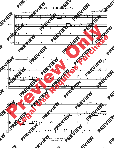## CANZON PER SONARE # 2



© 2012 **EIGHTH NOTE PUBLICATIONS** www.enpmusic.com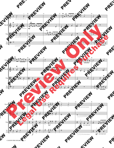

CANZON PER SONARE #2 pg. 2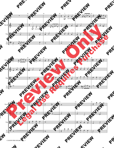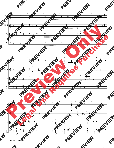

CANZON PER SONARE #2 pg. 4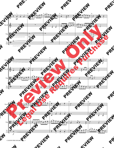

CANZON PER SONARE #2 pg. 5